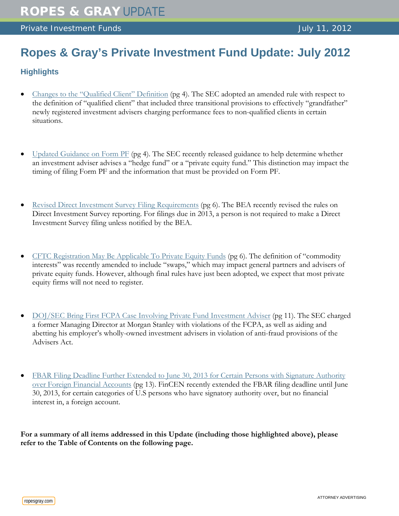# **Ropes & Gray's Private Investment Fund Update: July 2012**

## **Highlights**

- [Changes to the "Qualified Client" Definition](#page-3-0) (pg 4). The SEC adopted an amended rule with respect to the definition of "qualified client" that included three transitional provisions to effectively "grandfather" newly registered investment advisers charging performance fees to non-qualified clients in certain situations.
- [Updated Guidance on Form PF](#page-3-1) (pg 4)*.* The SEC recently released guidance to help determine whether an investment adviser advises a "hedge fund" or a "private equity fund." This distinction may impact the timing of filing Form PF and the information that must be provided on Form PF.
- Revised Direct Investment [Survey Filing Requirements](#page-5-0) (pg 6). The BEA recently revised the rules on Direct Investment Survey reporting. For filings due in 2013, a person is not required to make a Direct Investment Survey filing unless notified by the BEA.
- [CFTC Registration May Be Applicable To Private Equity Funds](#page-5-1) (pg 6). The definition of "commodity interests" was recently amended to include "swaps," which may impact general partners and advisers of private equity funds. However, although final rules have just been adopted, we expect that most private equity firms will not need to register.
- [DOJ/SEC Bring First FCPA Case Involving Private Fund Investment Adviser](#page-10-0) (pg 11). The SEC charged a former Managing Director at Morgan Stanley with violations of the FCPA, as well as aiding and abetting his employer's wholly-owned investment advisers in violation of anti-fraud provisions of the Advisers Act.
- FBAR Filing Deadline Further Extended to June 30, 2013 for Certain Persons with Signature Authority [over Foreign Financial Accounts](#page-12-0) (pg 13). FinCEN recently extended the FBAR filing deadline until June 30, 2013, for certain categories of U.S persons who have signatory authority over, but no financial interest in, a foreign account.

**For a summary of all items addressed in this Update (including those highlighted above), please refer to the Table of Contents on the following page.**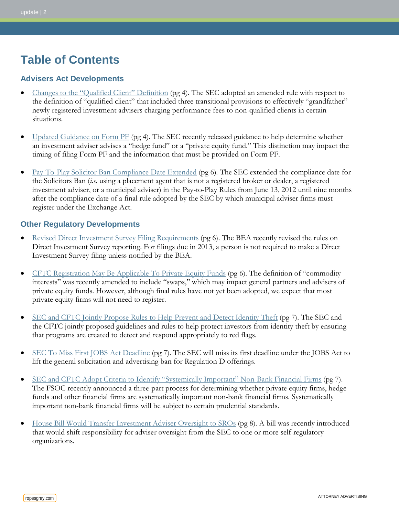# **Table of Contents**

### **Advisers Act Developments**

- [Changes to the "Qualified Client" Definition](#page-3-0) (pg 4). The SEC adopted an amended rule with respect to the definition of "qualified client" that included three transitional provisions to effectively "grandfather" newly registered investment advisers charging performance fees to non-qualified clients in certain situations.
- [Updated Guidance on Form PF](#page-3-1) (pg 4)*.* The SEC recently released guidance to help determine whether an investment adviser advises a "hedge fund" or a "private equity fund." This distinction may impact the timing of filing Form PF and the information that must be provided on Form PF.
- [Pay-To-Play Solicitor Ban Compliance Date Extended](#page-5-2) (pg 6)*.* The SEC extended the compliance date for the Solicitors Ban (*i.e.* using a placement agent that is not a registered broker or dealer, a registered investment adviser, or a municipal adviser) in the Pay-to-Play Rules from June 13, 2012 until nine months after the compliance date of a final rule adopted by the SEC by which municipal adviser firms must register under the Exchange Act.

### **Other Regulatory Developments**

- [Revised Direct Investment Survey Filing Requirements](#page-5-0) (pg 6). The BEA recently revised the rules on Direct Investment Survey reporting. For filings due in 2013, a person is not required to make a Direct Investment Survey filing unless notified by the BEA.
- [CFTC Registration May Be Applicable To Private Equity Funds](#page-5-1) (pg 6). The definition of "commodity interests" was recently amended to include "swaps," which may impact general partners and advisers of private equity funds. However, although final rules have not yet been adopted, we expect that most private equity firms will not need to register.
- [SEC and CFTC Jointly Propose Rules to Help Prevent and Detect Identity Theft](#page-6-0) (pg 7). The SEC and the CFTC jointly proposed guidelines and rules to help protect investors from identity theft by ensuring that programs are created to detect and respond appropriately to red flags.
- [SEC To Miss First JOBS Act](#page-6-1) Deadline (pg 7). The SEC will miss its first deadline under the JOBS Act to lift the general solicitation and advertising ban for Regulation D offerings.
- [SEC and CFTC Adopt Criteria to Identify "Systemically Important" Non-Bank Financial Firms](#page-6-2) (pg 7). The FSOC recently announced a three-part process for determining whether private equity firms, hedge funds and other financial firms are systematically important non-bank financial firms. Systematically important non-bank financial firms will be subject to certain prudential standards.
- [House Bill Would Transfer Investment Adviser Oversight to SROs](#page-7-0) (pg 8). A bill was recently introduced that would shift responsibility for adviser oversight from the SEC to one or more self-regulatory organizations.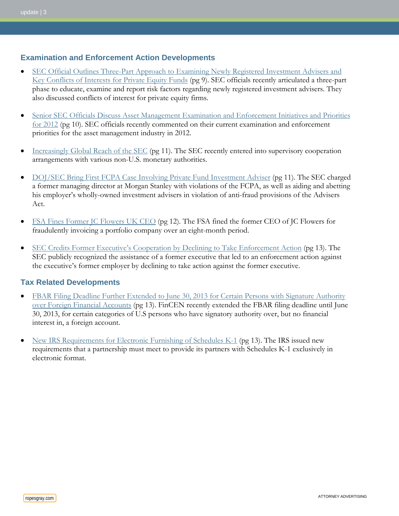### **Examination and Enforcement Action Developments**

- SEC Official Outlines Three-Part Approach to Examining Newly Registered Investment Advisers and [Key Conflicts of Interests for Private Equity Funds](#page-8-0) (pg 9). SEC officials recently articulated a three-part phase to educate, examine and report risk factors regarding newly registered investment advisers. They also discussed conflicts of interest for private equity firms.
- [Senior SEC Officials Discuss Asset Management Examination and Enforcement Initiatives and Priorities](#page-9-0)  [for 2012](#page-9-0) (pg 10). SEC officials recently commented on their current examination and enforcement priorities for the asset management industry in 2012.
- [Increasingly Global Reach of the SEC](#page-10-1) (pg 11). The SEC recently entered into supervisory cooperation arrangements with various non-U.S. monetary authorities.
- [DOJ/SEC Bring First FCPA Case Involving Private Fund Investment Adviser](#page-10-0) (pg 11). The SEC charged a former managing director at Morgan Stanley with violations of the FCPA, as well as aiding and abetting his employer's wholly-owned investment advisers in violation of anti-fraud provisions of the Advisers Act.
- [FSA Fines Former JC Flowers UK CEO](#page-11-0) (pg 12). The FSA fined the former CEO of JC Flowers for fraudulently invoicing a portfolio company over an eight-month period.
- [SEC Credits Former Executive's Cooperation by](#page-12-1) Declining to Take Enforcement Action (pg 13). The SEC publicly recognized the assistance of a former executive that led to an enforcement action against the executive's former employer by declining to take action against the former executive.

## **Tax Related Developments**

- FBAR Filing Deadline Further Extended to June 30, 2013 for Certain Persons with Signature Authority [over Foreign Financial Accounts](#page-12-0) (pg 13). FinCEN recently extended the FBAR filing deadline until June 30, 2013, for certain categories of U.S persons who have signatory authority over, but no financial interest in, a foreign account.
- [New IRS Requirements for Electronic Furnishing of Schedules K-1](#page-12-2) (pg 13). The IRS issued new requirements that a partnership must meet to provide its partners with Schedules K-1 exclusively in electronic format.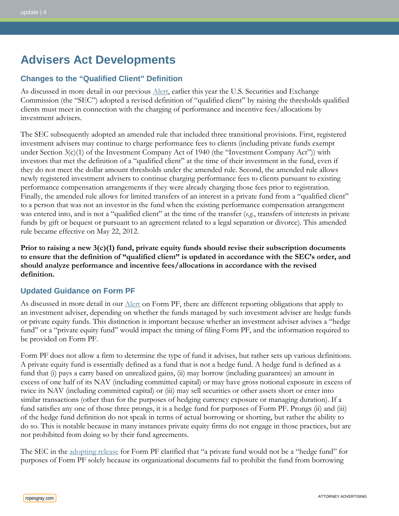# **Advisers Act Developments**

## <span id="page-3-0"></span>**Changes to the "Qualified Client" Definition**

As discussed in more detail in our previous [Alert,](http://www.ropesgray.com/files/Publication/2de2b14b-5024-4211-9a09-c0f3bc3c4c25/Presentation/PublicationAttachment/b2b00f93-1309-4af9-b2be-c4f77f7a2da3/20120214_PIF_Alert.pdf) earlier this year the U.S. Securities and Exchange Commission (the "SEC") adopted a revised definition of "qualified client" by raising the thresholds qualified clients must meet in connection with the charging of performance and incentive fees/allocations by investment advisers.

The SEC subsequently adopted an amended rule that included three transitional provisions. First, registered investment advisers may continue to charge performance fees to clients (including private funds exempt under Section  $3(c)(1)$  of the Investment Company Act of 1940 (the "Investment Company Act")) with investors that met the definition of a "qualified client" at the time of their investment in the fund, even if they do not meet the dollar amount thresholds under the amended rule. Second, the amended rule allows newly registered investment advisers to continue charging performance fees to clients pursuant to existing performance compensation arrangements if they were already charging those fees prior to registration. Finally, the amended rule allows for limited transfers of an interest in a private fund from a "qualified client" to a person that was not an investor in the fund when the existing performance compensation arrangement was entered into, and is not a "qualified client" at the time of the transfer (*e.g.*, transfers of interests in private funds by gift or bequest or pursuant to an agreement related to a legal separation or divorce). This amended rule became effective on May 22, 2012.

**Prior to raising a new 3(c)(1) fund, private equity funds should revise their subscription documents to ensure that the definition of "qualified client" is updated in accordance with the SEC's order, and should analyze performance and incentive fees/allocations in accordance with the revised definition.** 

## <span id="page-3-1"></span>**Updated Guidance on Form PF**

As discussed in more detail in our <u>Alert</u> on Form PF, there are different reporting obligations that apply to an investment adviser, depending on whether the funds managed by such investment adviser are hedge funds or private equity funds. This distinction is important because whether an investment adviser advises a "hedge fund" or a "private equity fund" would impact the timing of filing Form PF, and the information required to be provided on Form PF.

Form PF does not allow a firm to determine the type of fund it advises, but rather sets up various definitions. A private equity fund is essentially defined as a fund that is not a hedge fund. A hedge fund is defined as a fund that (i) pays a carry based on unrealized gains, (ii) may borrow (including guarantees) an amount in excess of one half of its NAV (including committed capital) or may have gross notional exposure in excess of twice its NAV (including committed capital) or (iii) may sell securities or other assets short or enter into similar transactions (other than for the purposes of hedging currency exposure or managing duration). If a fund satisfies any one of those three prongs, it is a hedge fund for purposes of Form PF. Prongs (ii) and (iii) of the hedge fund definition do not speak in terms of actual borrowing or shorting, but rather the ability to do so. This is notable because in many instances private equity firms do not engage in those practices, but are not prohibited from doing so by their fund agreements.

The SEC in the [adopting release](http://www.sec.gov/rules/final/2011/ia-3221.pdf) for Form PF clarified that "a private fund would not be a "hedge fund" for purposes of Form PF solely because its organizational documents fail to prohibit the fund from borrowing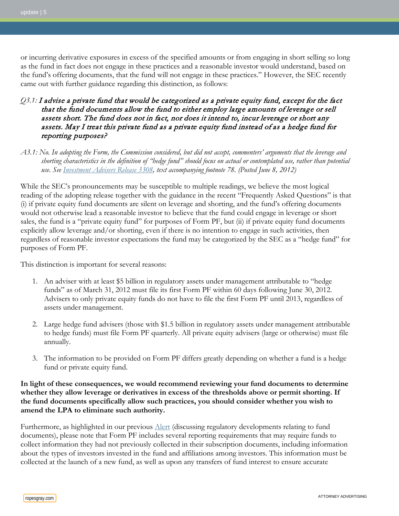or incurring derivative exposures in excess of the specified amounts or from engaging in short selling so long as the fund in fact does not engage in these practices and a reasonable investor would understand, based on the fund's offering documents, that the fund will not engage in these practices." However, the SEC recently came out with further guidance regarding this distinction, as follows:

### *Q3.1:* I advise a private fund that would be categorized as a private equity fund, except for the fact that the fund documents allow the fund to either employ large amounts of leverage or sell assets short. The fund does not in fact, nor does it intend to, incur leverage or short any assets. May I treat this private fund as a private equity fund instead of as a hedge fund for reporting purposes?

*A3.1: No. In adopting the Form, the Commission considered, but did not accept, commenters' arguments that the leverage and shorting characteristics in the definition of "hedge fund" should focus on actual or contemplated use, rather than potential use. See [Investment Advisers Release 3308,](http://sec.gov/rules/final/2011/ia-3308.pdf) text accompanying footnote 78. (Posted June 8, 2012)*

While the SEC's pronouncements may be susceptible to multiple readings, we believe the most logical reading of the adopting release together with the guidance in the recent "Frequently Asked Questions" is that (i) if private equity fund documents are silent on leverage and shorting, and the fund's offering documents would not otherwise lead a reasonable investor to believe that the fund could engage in leverage or short sales, the fund is a "private equity fund" for purposes of Form PF, but (ii) if private equity fund documents explicitly allow leverage and/or shorting, even if there is no intention to engage in such activities, then regardless of reasonable investor expectations the fund may be categorized by the SEC as a "hedge fund" for purposes of Form PF.

This distinction is important for several reasons:

- 1. An adviser with at least \$5 billion in regulatory assets under management attributable to "hedge funds" as of March 31, 2012 must file its first Form PF within 60 days following June 30, 2012. Advisers to only private equity funds do not have to file the first Form PF until 2013, regardless of assets under management.
- 2. Large hedge fund advisers (those with \$1.5 billion in regulatory assets under management attributable to hedge funds) must file Form PF quarterly. All private equity advisers (large or otherwise) must file annually.
- 3. The information to be provided on Form PF differs greatly depending on whether a fund is a hedge fund or private equity fund.

#### **In light of these consequences, we would recommend reviewing your fund documents to determine whether they allow leverage or derivatives in excess of the thresholds above or permit shorting. If the fund documents specifically allow such practices, you should consider whether you wish to amend the LPA to eliminate such authority.**

Furthermore, as highlighted in our previous [Alert](http://www.ropesgray.com/files/Publication/2de2b14b-5024-4211-9a09-c0f3bc3c4c25/Presentation/PublicationAttachment/b2b00f93-1309-4af9-b2be-c4f77f7a2da3/20120214_PIF_Alert.pdf) (discussing regulatory developments relating to fund documents), please note that Form PF includes several reporting requirements that may require funds to collect information they had not previously collected in their subscription documents, including information about the types of investors invested in the fund and affiliations among investors. This information must be collected at the launch of a new fund, as well as upon any transfers of fund interest to ensure accurate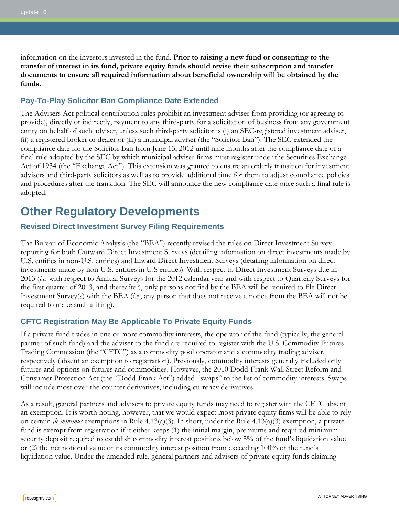information on the investors invested in the fund. **Prior to raising a new fund or consenting to the transfer of interest in its fund, private equity funds should revise their subscription and transfer documents to ensure all required information about beneficial ownership will be obtained by the funds.**

#### <span id="page-5-2"></span>**Pay-To-Play Solicitor Ban Compliance Date Extended**

The Advisers Act political contribution rules prohibit an investment adviser from providing (or agreeing to provide), directly or indirectly, payment to any third-party for a solicitation of business from any government entity on behalf of such adviser, unless such third-party solicitor is (i) an SEC-registered investment adviser, (ii) a registered broker or dealer or (iii) a municipal adviser (the "Solicitor Ban"). The SEC extended the compliance date for the Solicitor Ban from June 13, 2012 until nine months after the compliance date of a final rule adopted by the SEC by which municipal adviser firms must register under the Securities Exchange Act of 1934 (the "Exchange Act"). This extension was granted to ensure an orderly transition for investment advisers and third-party solicitors as well as to provide additional time for them to adjust compliance policies and procedures after the transition. The SEC will announce the new compliance date once such a final rule is adopted.

## **Other Regulatory Developments**

### <span id="page-5-0"></span>**Revised Direct Investment Survey Filing Requirements**

The Bureau of Economic Analysis (the "BEA") recently revised the rules on Direct Investment Survey reporting for both Outward Direct Investment Surveys (detailing information on direct investments made by U.S. entities in non-U.S. entities) and Inward Direct Investment Surveys (detailing information on direct investments made by non-U.S. entities in U.S entities). With respect to Direct Investment Surveys due in 2013 (*i.e.* with respect to Annual Surveys for the 2012 calendar year and with respect to Quarterly Surveys for the first quarter of 2013, and thereafter), only persons notified by the BEA will be required to file Direct Investment Survey(s) with the BEA (*i.e.*, any person that does not receive a notice from the BEA will not be required to make such a filing).

## <span id="page-5-1"></span>**CFTC Registration May Be Applicable To Private Equity Funds**

If a private fund trades in one or more commodity interests, the operator of the fund (typically, the general partner of such fund) and the adviser to the fund are required to register with the U.S. Commodity Futures Trading Commission (the "CFTC") as a commodity pool operator and a commodity trading adviser, respectively (absent an exemption to registration). Previously, commodity interests generally included only futures and options on futures and commodities. However, the 2010 Dodd-Frank Wall Street Reform and Consumer Protection Act (the "Dodd-Frank Act") added "swaps" to the list of commodity interests. Swaps will include most over-the-counter derivatives, including currency derivatives.

As a result, general partners and advisers to private equity funds may need to register with the CFTC absent an exemption. It is worth noting, however, that we would expect most private equity firms will be able to rely on certain *de minimus* exemptions in Rule 4.13(a)(3). In short, under the Rule 4.13(a)(3) exemption, a private fund is exempt from registration if it either keeps (1) the initial margin, premiums and required minimum security deposit required to establish commodity interest positions below 5% of the fund's liquidation value or (2) the net notional value of its commodity interest position from exceeding 100% of the fund's liquidation value. Under the amended rule, general partners and advisers of private equity funds claiming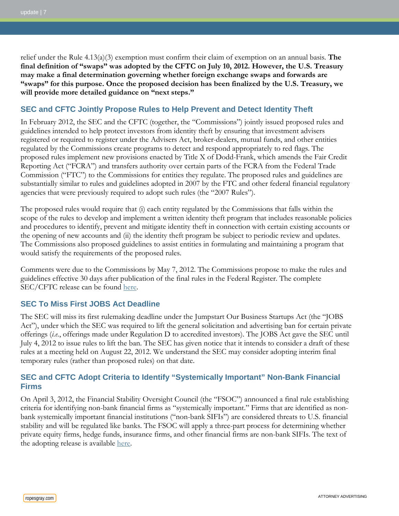relief under the Rule 4.13(a)(3) exemption must confirm their claim of exemption on an annual basis. **The final definition of "swaps" was adopted by the CFTC on July 10, 2012. However, the U.S. Treasury may make a final determination governing whether foreign exchange swaps and forwards are "swaps" for this purpose. Once the proposed decision has been finalized by the U.S. Treasury, we will provide more detailed guidance on "next steps."**

## <span id="page-6-0"></span>**SEC and CFTC Jointly Propose Rules to Help Prevent and Detect Identity Theft**

In February 2012, the SEC and the CFTC (together, the "Commissions") jointly issued proposed rules and guidelines intended to help protect investors from identity theft by ensuring that investment advisers registered or required to register under the Advisers Act, broker-dealers, mutual funds, and other entities regulated by the Commissions create programs to detect and respond appropriately to red flags. The proposed rules implement new provisions enacted by Title X of Dodd-Frank, which amends the Fair Credit Reporting Act ("FCRA") and transfers authority over certain parts of the FCRA from the Federal Trade Commission ("FTC") to the Commissions for entities they regulate. The proposed rules and guidelines are substantially similar to rules and guidelines adopted in 2007 by the FTC and other federal financial regulatory agencies that were previously required to adopt such rules (the "2007 Rules").

The proposed rules would require that (i) each entity regulated by the Commissions that falls within the scope of the rules to develop and implement a written identity theft program that includes reasonable policies and procedures to identify, prevent and mitigate identity theft in connection with certain existing accounts or the opening of new accounts and (ii) the identity theft program be subject to periodic review and updates. The Commissions also proposed guidelines to assist entities in formulating and maintaining a program that would satisfy the requirements of the proposed rules.

Comments were due to the Commissions by May 7, 2012. The Commissions propose to make the rules and guidelines effective 30 days after publication of the final rules in the Federal Register. The complete SEC/CFTC release can be found [here.](http://www.sec.gov/rules/proposed/2012/ic-29969.pdf)

## <span id="page-6-1"></span>**SEC To Miss First JOBS Act Deadline**

The SEC will miss its first rulemaking deadline under the Jumpstart Our Business Startups Act (the "JOBS Act"), under which the SEC was required to lift the general solicitation and advertising ban for certain private offerings (*i.e.*, offerings made under Regulation D to accredited investors). The JOBS Act gave the SEC until July 4, 2012 to issue rules to lift the ban. The SEC has given notice that it intends to consider a draft of these rules at a meeting held on August 22, 2012. We understand the SEC may consider adopting interim final temporary rules (rather than proposed rules) on that date.

## <span id="page-6-2"></span>**SEC and CFTC Adopt Criteria to Identify "Systemically Important" Non-Bank Financial Firms**

On April 3, 2012, the Financial Stability Oversight Council (the "FSOC") announced a final rule establishing criteria for identifying non-bank financial firms as "systemically important." Firms that are identified as nonbank systemically important financial institutions ("non-bank SIFIs") are considered threats to U.S. financial stability and will be regulated like banks. The FSOC will apply a three-part process for determining whether private equity firms, hedge funds, insurance firms, and other financial firms are non-bank SIFIs. The text of the adopting release is available [here.](http://www.treasury.gov/initiatives/fsoc/Documents/Nonbank%20Designations%20-%20Final%20Rule%20and%20Guidance.pdf)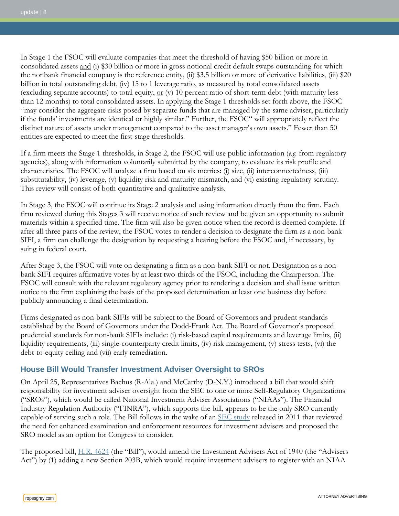In Stage 1 the FSOC will evaluate companies that meet the threshold of having \$50 billion or more in consolidated assets and (i) \$30 billion or more in gross notional credit default swaps outstanding for which the nonbank financial company is the reference entity, (ii) \$3.5 billion or more of derivative liabilities, (iii) \$20 billion in total outstanding debt, (iv) 15 to 1 leverage ratio, as measured by total consolidated assets (excluding separate accounts) to total equity,  $or$  (v) 10 percent ratio of short-term debt (with maturity less</u> than 12 months) to total consolidated assets. In applying the Stage 1 thresholds set forth above, the FSOC "may consider the aggregate risks posed by separate funds that are managed by the same adviser, particularly if the funds' investments are identical or highly similar." Further, the FSOC" will appropriately reflect the distinct nature of assets under management compared to the asset manager's own assets." Fewer than 50 entities are expected to meet the first-stage thresholds.

If a firm meets the Stage 1 thresholds, in Stage 2, the FSOC will use public information (*e.g.* from regulatory agencies), along with information voluntarily submitted by the company, to evaluate its risk profile and characteristics. The FSOC will analyze a firm based on six metrics: (i) size, (ii) interconnectedness, (iii) substitutability, (iv) leverage, (v) liquidity risk and maturity mismatch, and (vi) existing regulatory scrutiny. This review will consist of both quantitative and qualitative analysis.

In Stage 3, the FSOC will continue its Stage 2 analysis and using information directly from the firm. Each firm reviewed during this Stages 3 will receive notice of such review and be given an opportunity to submit materials within a specified time. The firm will also be given notice when the record is deemed complete. If after all three parts of the review, the FSOC votes to render a decision to designate the firm as a non-bank SIFI, a firm can challenge the designation by requesting a hearing before the FSOC and, if necessary, by suing in federal court.

After Stage 3, the FSOC will vote on designating a firm as a non-bank SIFI or not. Designation as a nonbank SIFI requires affirmative votes by at least two-thirds of the FSOC, including the Chairperson. The FSOC will consult with the relevant regulatory agency prior to rendering a decision and shall issue written notice to the firm explaining the basis of the proposed determination at least one business day before publicly announcing a final determination.

Firms designated as non-bank SIFIs will be subject to the Board of Governors and prudent standards established by the Board of Governors under the Dodd-Frank Act. The Board of Governor's proposed prudential standards for non-bank SIFIs include: (i) risk-based capital requirements and leverage limits, (ii) liquidity requirements, (iii) single-counterparty credit limits, (iv) risk management, (v) stress tests, (vi) the debt-to-equity ceiling and (vii) early remediation.

## <span id="page-7-0"></span>**House Bill Would Transfer Investment Adviser Oversight to SROs**

On April 25, Representatives Bachus (R-Ala.) and McCarthy (D-N.Y.) introduced a bill that would shift responsibility for investment adviser oversight from the SEC to one or more Self-Regulatory Organizations ("SROs"), which would be called National Investment Adviser Associations ("NIAAs"). The Financial Industry Regulation Authority ("FINRA"), which supports the bill, appears to be the only SRO currently capable of serving such a role. The Bill follows in the wake of an [SEC study](http://www.sec.gov/news/studies/2011/914studyfinal.pdf) released in 2011 that reviewed the need for enhanced examination and enforcement resources for investment advisers and proposed the SRO model as an option for Congress to consider.

The proposed bill, [H.R. 4624](http://www.gpo.gov/fdsys/pkg/BILLS-112hr4624ih/pdf/BILLS-112hr4624ih.pdf) (the "Bill"), would amend the Investment Advisers Act of 1940 (the "Advisers" Act") by (1) adding a new Section 203B, which would require investment advisers to register with an NIAA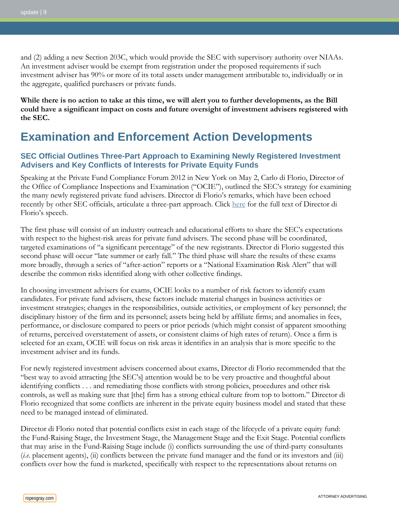and (2) adding a new Section 203C, which would provide the SEC with supervisory authority over NIAAs. An investment adviser would be exempt from registration under the proposed requirements if such investment adviser has 90% or more of its total assets under management attributable to, individually or in the aggregate, qualified purchasers or private funds.

**While there is no action to take at this time, we will alert you to further developments, as the Bill could have a significant impact on costs and future oversight of investment advisers registered with the SEC.**

## **Examination and Enforcement Action Developments**

### <span id="page-8-0"></span>**SEC Official Outlines Three-Part Approach to Examining Newly Registered Investment Advisers and Key Conflicts of Interests for Private Equity Funds**

Speaking at the Private Fund Compliance Forum 2012 in New York on May 2, Carlo di Florio, Director of the Office of Compliance Inspections and Examination ("OCIE"), outlined the SEC's strategy for examining the many newly registered private fund advisers. Director di Florio's remarks, which have been echoed recently by other SEC officials, articulate a three-part approach. Click [here](http://www.sec.gov/news/speech/2012/spch050212cvd.htm) for the full text of Director di Florio's speech.

The first phase will consist of an industry outreach and educational efforts to share the SEC's expectations with respect to the highest-risk areas for private fund advisers. The second phase will be coordinated, targeted examinations of "a significant percentage" of the new registrants. Director di Florio suggested this second phase will occur "late summer or early fall." The third phase will share the results of these exams more broadly, through a series of "after-action" reports or a "National Examination Risk Alert" that will describe the common risks identified along with other collective findings.

In choosing investment advisers for exams, OCIE looks to a number of risk factors to identify exam candidates. For private fund advisers, these factors include material changes in business activities or investment strategies; changes in the responsibilities, outside activities, or employment of key personnel; the disciplinary history of the firm and its personnel; assets being held by affiliate firms; and anomalies in fees, performance, or disclosure compared to peers or prior periods (which might consist of apparent smoothing of returns, perceived overstatement of assets, or consistent claims of high rates of return). Once a firm is selected for an exam, OCIE will focus on risk areas it identifies in an analysis that is more specific to the investment adviser and its funds.

For newly registered investment advisers concerned about exams, Director di Florio recommended that the "best way to avoid attracting [the SEC's] attention would be to be very proactive and thoughtful about identifying conflicts . . . and remediating those conflicts with strong policies, procedures and other risk controls, as well as making sure that [the] firm has a strong ethical culture from top to bottom." Director di Florio recognized that some conflicts are inherent in the private equity business model and stated that these need to be managed instead of eliminated.

Director di Florio noted that potential conflicts exist in each stage of the lifecycle of a private equity fund: the Fund-Raising Stage, the Investment Stage, the Management Stage and the Exit Stage. Potential conflicts that may arise in the Fund-Raising Stage include (i) conflicts surrounding the use of third-party consultants (*i.e.* placement agents), (ii) conflicts between the private fund manager and the fund or its investors and (iii) conflicts over how the fund is marketed, specifically with respect to the representations about returns on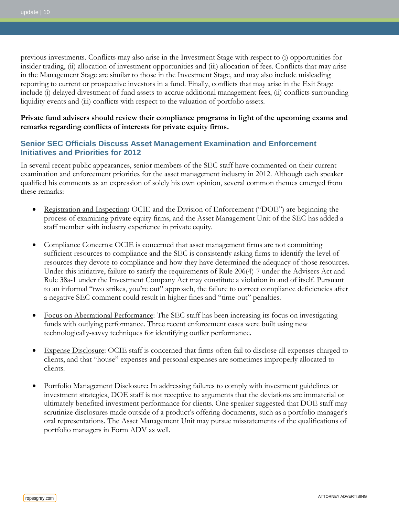previous investments. Conflicts may also arise in the Investment Stage with respect to (i) opportunities for insider trading, (ii) allocation of investment opportunities and (iii) allocation of fees. Conflicts that may arise in the Management Stage are similar to those in the Investment Stage, and may also include misleading reporting to current or prospective investors in a fund. Finally, conflicts that may arise in the Exit Stage include (i) delayed divestment of fund assets to accrue additional management fees, (ii) conflicts surrounding liquidity events and (iii) conflicts with respect to the valuation of portfolio assets.

#### **Private fund advisers should review their compliance programs in light of the upcoming exams and remarks regarding conflicts of interests for private equity firms.**

### <span id="page-9-0"></span>**Senior SEC Officials Discuss Asset Management Examination and Enforcement Initiatives and Priorities for 2012**

In several recent public appearances, senior members of the SEC staff have commented on their current examination and enforcement priorities for the asset management industry in 2012. Although each speaker qualified his comments as an expression of solely his own opinion, several common themes emerged from these remarks:

- Registration and Inspection **:** OCIE and the Division of Enforcement ("DOE") are beginning the process of examining private equity firms, and the Asset Management Unit of the SEC has added a staff member with industry experience in private equity.
- Compliance Concerns: OCIE is concerned that asset management firms are not committing sufficient resources to compliance and the SEC is consistently asking firms to identify the level of resources they devote to compliance and how they have determined the adequacy of those resources. Under this initiative, failure to satisfy the requirements of Rule 206(4)-7 under the Advisers Act and Rule 38a-1 under the Investment Company Act may constitute a violation in and of itself. Pursuant to an informal "two strikes, you're out" approach, the failure to correct compliance deficiencies after a negative SEC comment could result in higher fines and "time-out" penalties.
- Focus on Aberrational Performance: The SEC staff has been increasing its focus on investigating funds with outlying performance. Three recent enforcement cases were built using new technologically-savvy techniques for identifying outlier performance.
- Expense Disclosure: OCIE staff is concerned that firms often fail to disclose all expenses charged to clients, and that "house" expenses and personal expenses are sometimes improperly allocated to clients.
- Portfolio Management Disclosure: In addressing failures to comply with investment guidelines or investment strategies, DOE staff is not receptive to arguments that the deviations are immaterial or ultimately benefited investment performance for clients. One speaker suggested that DOE staff may scrutinize disclosures made outside of a product's offering documents, such as a portfolio manager's oral representations. The Asset Management Unit may pursue misstatements of the qualifications of portfolio managers in Form ADV as well.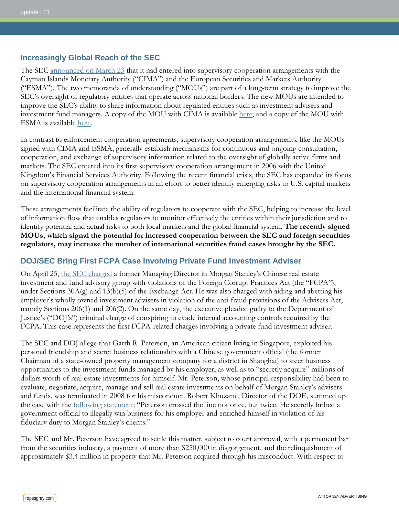#### <span id="page-10-1"></span>**Increasingly Global Reach of the SEC**

The SEC [announced on March 23](http://www.sec.gov/news/press/2012/2012-49.htm) that it had entered into supervisory cooperation arrangements with the Cayman Islands Monetary Authority ("CIMA") and the European Securities and Markets Authority ("ESMA"). The two memoranda of understanding ("MOUs") are part of a long-term strategy to improve the SEC's oversight of regulatory entities that operate across national borders. The new MOUs are intended to improve the SEC's ability to share information about regulated entities such as investment advisers and investment fund managers. A copy of the MOU with CIMA is available [here,](http://www.sec.gov/about/offices/oia/oia_bilateral/cayman-mou.pdf) and a copy of the MOU with ESMA is available [here.](http://www.sec.gov/about/offices/oia/oia_bilateral/esma-mou.pdf)

In contrast to enforcement cooperation agreements, supervisory cooperation arrangements, like the MOUs signed with CIMA and ESMA, generally establish mechanisms for continuous and ongoing consultation, cooperation, and exchange of supervisory information related to the oversight of globally active firms and markets. The SEC entered into its first supervisory cooperation arrangement in 2006 with the United Kingdom's Financial Services Authority. Following the recent financial crisis, the SEC has expanded its focus on supervisory cooperation arrangements in an effort to better identify emerging risks to U.S. capital markets and the international financial system.

These arrangements facilitate the ability of regulators to cooperate with the SEC, helping to increase the level of information flow that enables regulators to monitor effectively the entities within their jurisdiction and to identify potential and actual risks to both local markets and the global financial system. **The recently signed MOUs, which signal the potential for increased cooperation between the SEC and foreign securities regulators, may increase the number of international securities fraud cases brought by the SEC.**

#### <span id="page-10-0"></span>**DOJ/SEC Bring First FCPA Case Involving Private Fund Investment Adviser**

On April 25, [the SEC charged](http://www.sec.gov/litigation/complaints/2012/comp-pr2012-78.pdf) a former Managing Director in Morgan Stanley's Chinese real estate investment and fund advisory group with violations of the Foreign Corrupt Practices Act (the "FCPA"), under Sections  $30A(g)$  and  $13(b)(5)$  of the Exchange Act. He was also charged with aiding and abetting his employer's wholly owned investment advisers in violation of the anti-fraud provisions of the Advisers Act, namely Sections 206(1) and 206(2). On the same day, the executive pleaded guilty to the Department of Justice's ("DOJ's") criminal charge of conspiring to evade internal accounting controls required by the FCPA. This case represents the first FCPA-related charges involving a private fund investment adviser.

The SEC and DOJ allege that Garth R. Peterson, an American citizen living in Singapore, exploited his personal friendship and secret business relationship with a Chinese government official (the former Chairman of a state-owned property management company for a district in Shanghai) to steer business opportunities to the investment funds managed by his employer, as well as to "secretly acquire" millions of dollars worth of real estate investments for himself. Mr. Peterson, whose principal responsibility had been to evaluate, negotiate, acquire, manage and sell real estate investments on behalf of Morgan Stanley's advisers and funds, was terminated in 2008 for his misconduct. Robert Khuzami, Director of the DOE, summed up the case with the [following statement:](http://www.sec.gov/news/press/2012/2012-78.htm) "Peterson crossed the line not once, but twice. He secretly bribed a government official to illegally win business for his employer and enriched himself in violation of his fiduciary duty to Morgan Stanley's clients."

The SEC and Mr. Peterson have agreed to settle this matter, subject to court approval, with a permanent bar from the securities industry, a payment of more than \$250,000 in disgorgement, and the relinquishment of approximately \$3.4 million in property that Mr. Peterson acquired through his misconduct. With respect to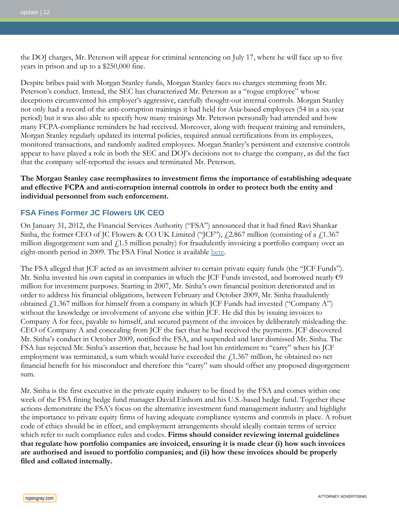the DOJ charges, Mr. Peterson will appear for criminal sentencing on July 17, where he will face up to five years in prison and up to a \$250,000 fine.

Despite bribes paid with Morgan Stanley funds, Morgan Stanley faces no charges stemming from Mr. Peterson's conduct. Instead, the SEC has characterized Mr. Peterson as a "rogue employee" whose deceptions circumvented his employer's aggressive, carefully thought-out internal controls. Morgan Stanley not only had a record of the anti-corruption trainings it had held for Asia-based employees (54 in a six-year period) but it was also able to specify how many trainings Mr. Peterson personally had attended and how many FCPA-compliance reminders he had received. Moreover, along with frequent training and reminders, Morgan Stanley regularly updated its internal policies, required annual certifications from its employees, monitored transactions, and randomly audited employees. Morgan Stanley's persistent and extensive controls appear to have played a role in both the SEC and DOJ's decisions not to charge the company, as did the fact that the company self-reported the issues and terminated Mr. Peterson.

#### **The Morgan Stanley case reemphasizes to investment firms the importance of establishing adequate and effective FCPA and anti-corruption internal controls in order to protect both the entity and individual personnel from such enforcement.**

## <span id="page-11-0"></span>**FSA Fines Former JC Flowers UK CEO**

On January 31, 2012, the Financial Services Authority ("FSA") announced that it had fined Ravi Shankar Sinha, the former CEO of JC Flowers & CO UK Limited ("JCF"),  $f$ 2.867 million (consisting of a  $f$ 1.367 million disgorgement sum and  $f<sub>1.5</sub>$  million penalty) for fraudulently invoicing a portfolio company over an eight-month period in 2009. The FSA Final Notice is available [here.](http://www.fsa.gov.uk/static/pubs/final/ravi-sinha.pdf)

The FSA alleged that JCF acted as an investment adviser to certain private equity funds (the "JCF Funds"). Mr. Sinha invested his own capital in companies in which the JCF Funds invested, and borrowed nearly  $\epsilon$ 9 million for investment purposes. Starting in 2007, Mr. Sinha's own financial position deteriorated and in order to address his financial obligations, between February and October 2009, Mr. Sinha fraudulently obtained  $\angle$  1.367 million for himself from a company in which JCF Funds had invested ("Company A") without the knowledge or involvement of anyone else within JCF. He did this by issuing invoices to Company A for fees, payable to himself, and secured payment of the invoices by deliberately misleading the CEO of Company A and concealing from JCF the fact that he had received the payments. JCF discovered Mr. Sinha's conduct in October 2009, notified the FSA, and suspended and later dismissed Mr. Sinha. The FSA has rejected Mr. Sinha's assertion that, because he had lost his entitlement to "carry" when his JCF employment was terminated, a sum which would have exceeded the  $f$ 1.367 million, he obtained no net financial benefit for his misconduct and therefore this "carry" sum should offset any proposed disgorgement sum.

Mr. Sinha is the first executive in the private equity industry to be fined by the FSA and comes within one week of the FSA fining hedge fund manager David Einhorn and his U.S.-based hedge fund. Together these actions demonstrate the FSA's focus on the alternative investment fund management industry and highlight the importance to private equity firms of having adequate compliance systems and controls in place. A robust code of ethics should be in effect, and employment arrangements should ideally contain terms of service which refer to such compliance rules and codes. **Firms should consider reviewing internal guidelines that regulate how portfolio companies are invoiced, ensuring it is made clear (i) how such invoices are authorised and issued to portfolio companies; and (ii) how these invoices should be properly filed and collated internally.**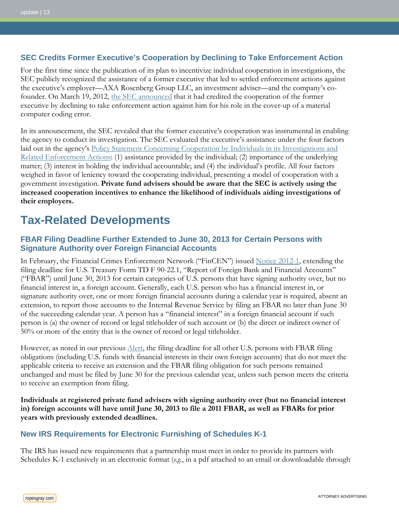### <span id="page-12-1"></span>**SEC Credits Former Executive's Cooperation by Declining to Take Enforcement Action**

For the first time since the publication of its plan to incentivize individual cooperation in investigations, the SEC publicly recognized the assistance of a former executive that led to settled enforcement actions against the executive's employer—AXA Rosenberg Group LLC, an investment adviser—and the company's cofounder. On March 19, 2012, [the SEC announced](http://www.sec.gov/litigation/litreleases/2012/lr22298.htm) that it had credited the cooperation of the former executive by declining to take enforcement action against him for his role in the cover-up of a material computer coding error.

In its announcement, the SEC revealed that the former executive's cooperation was instrumental in enabling the agency to conduct its investigation. The SEC evaluated the executive's assistance under the four factors laid out in the agency's Policy Statement Concerning Cooperation by Individuals in its Investigations and [Related Enforcement Actions:](http://www.gpo.gov/fdsys/pkg/FR-2010-01-19/pdf/2010-843.pdf) (1) assistance provided by the individual; (2) importance of the underlying matter; (3) interest in holding the individual accountable; and (4) the individual's profile. All four factors weighed in favor of leniency toward the cooperating individual, presenting a model of cooperation with a government investigation. **Private fund advisers should be aware that the SEC is actively using the increased cooperation incentives to enhance the likelihood of individuals aiding investigations of their employers.**

## **Tax-Related Developments**

## <span id="page-12-0"></span>**FBAR Filing Deadline Further Extended to June 30, 2013 for Certain Persons with Signature Authority over Foreign Financial Accounts**

In February, the Financial Crimes Enforcement Network ("FinCEN") issued [Notice 2012-1,](http://www.fincen.gov/statutes_regs/guidance/pdf/FinCEN_Notice_2012-1_FBAR_Filing_Extension.pdf) extending the filing deadline for U.S. Treasury Form TD F 90-22.1, "Report of Foreign Bank and Financial Accounts" ("FBAR") until June 30, 2013 for certain categories of U.S. persons that have signing authority over, but no financial interest in, a foreign account. Generally, each U.S. person who has a financial interest in, or signature authority over, one or more foreign financial accounts during a calendar year is required, absent an extension, to report those accounts to the Internal Revenue Service by filing an FBAR no later than June 30 of the succeeding calendar year. A person has a "financial interest" in a foreign financial account if such person is (a) the owner of record or legal titleholder of such account or (b) the direct or indirect owner of 50% or more of the entity that is the owner of record or legal titleholder.

However, as noted in our previous [Alert,](http://www.ropesgray.com/files/Publication/3d6a0033-d3c7-4486-b0a5-f0b40f1859af/Presentation/PublicationAttachment/cc177820-4f73-4b50-9b6c-f390d15a005c/20120221_Tax_Benefits_Alert.pdf) the filing deadline for all other U.S. persons with FBAR filing obligations (including U.S. funds with financial interests in their own foreign accounts) that do not meet the applicable criteria to receive an extension and the FBAR filing obligation for such persons remained unchanged and must be filed by June 30 for the previous calendar year, unless such person meets the criteria to receive an exemption from filing.

**Individuals at registered private fund advisers with signing authority over (but no financial interest in) foreign accounts will have until June 30, 2013 to file a 2011 FBAR, as well as FBARs for prior years with previously extended deadlines.**

## <span id="page-12-2"></span>**New IRS Requirements for Electronic Furnishing of Schedules K-1**

The IRS has issued new requirements that a partnership must meet in order to provide its partners with Schedules K-1 exclusively in an electronic format (*e.g.*, in a pdf attached to an email or downloadable through